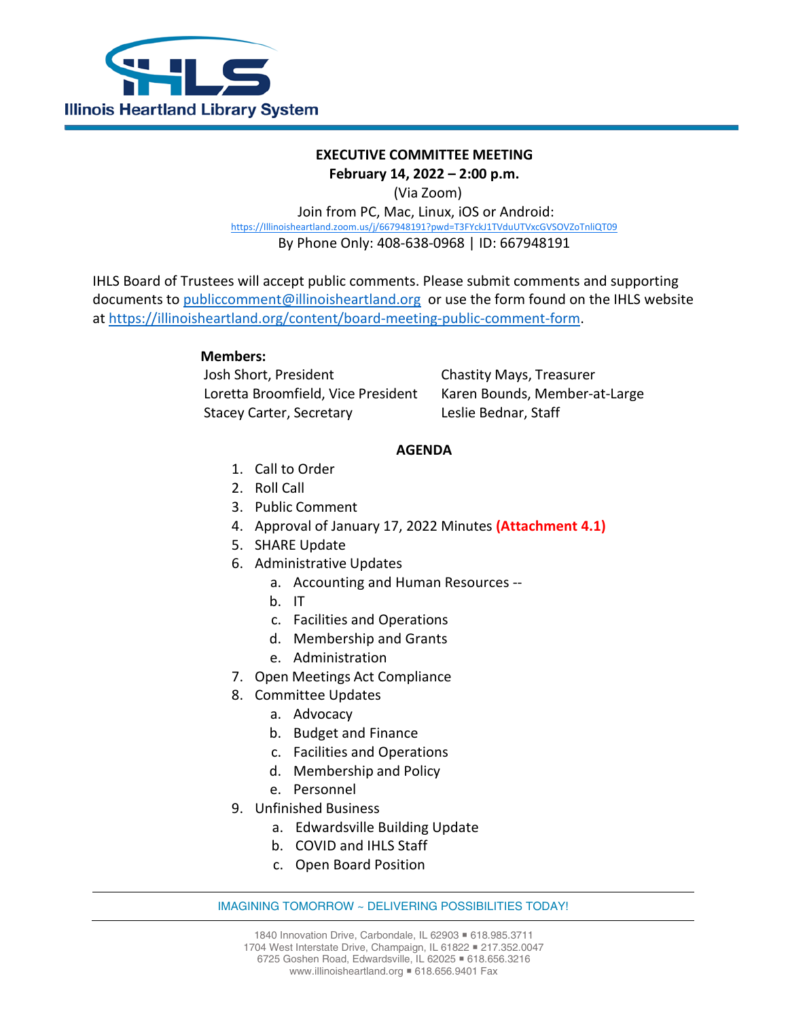

# **EXECUTIVE COMMITTEE MEETING**

## **February 14, 2022 – 2:00 p.m.**

(Via Zoom)

Join from PC, Mac, Linux, iOS or Android: [https://Illinoisheartland.zoom.us/j/667948191?pwd=T3FYckJ1TVduUTVxcGVSOVZoTnliQT09](https://illinoisheartland.zoom.us/j/667948191?pwd=T3FYckJ1TVduUTVxcGVSOVZoTnliQT09) By Phone Only: 408-638-0968 | ID: 667948191

IHLS Board of Trustees will accept public comments. Please submit comments and supporting documents to [publiccomment@illinoisheartland.org](mailto:publiccomment@illinoisheartland.org) or use the form found on the IHLS website at [https://illinoisheartland.org/content/board-meeting-public-comment-form.](https://illinoisheartland.org/content/board-meeting-public-comment-form)

# **Members:**

Josh Short, President Chastity Mays, Treasurer Loretta Broomfield, Vice President Karen Bounds, Member-at-Large Stacey Carter, Secretary Leslie Bednar, Staff

## **AGENDA**

- 1. Call to Order
- 2. Roll Call
- 3. Public Comment
- 4. Approval of January 17, 2022 Minutes **(Attachment 4.1)**
- 5. SHARE Update
- 6. Administrative Updates
	- a. Accounting and Human Resources --
	- b. IT
	- c. Facilities and Operations
	- d. Membership and Grants
	- e. Administration
- 7. Open Meetings Act Compliance
- 8. Committee Updates
	- a. Advocacy
	- b. Budget and Finance
	- c. Facilities and Operations
	- d. Membership and Policy
	- e. Personnel
- 9. Unfinished Business
	- a. Edwardsville Building Update
	- b. COVID and IHLS Staff
	- c. Open Board Position

#### IMAGINING TOMORROW ~ DELIVERING POSSIBILITIES TODAY!